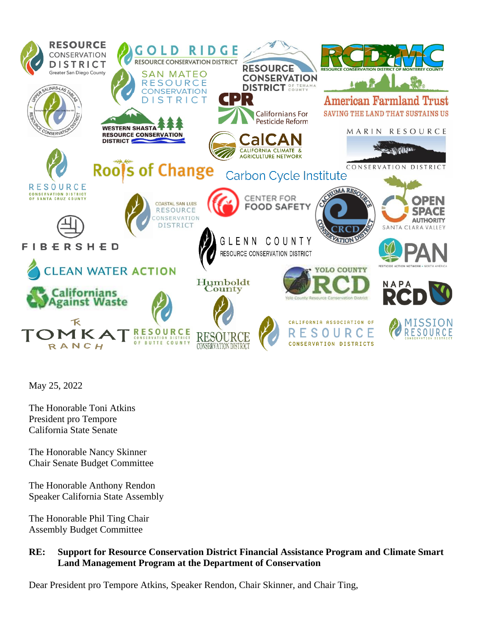

May 25, 2022

The Honorable Toni Atkins President pro Tempore California State Senate

The Honorable Nancy Skinner Chair Senate Budget Committee

The Honorable Anthony Rendon Speaker California State Assembly

The Honorable Phil Ting Chair Assembly Budget Committee

## **RE: Support for Resource Conservation District Financial Assistance Program and Climate Smart Land Management Program at the Department of Conservation**

Dear President pro Tempore Atkins, Speaker Rendon, Chair Skinner, and Chair Ting,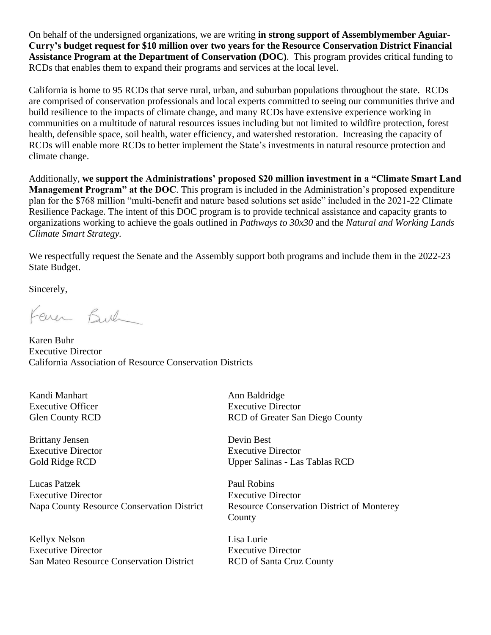On behalf of the undersigned organizations, we are writing **in strong support of Assemblymember Aguiar-Curry's budget request for \$10 million over two years for the Resource Conservation District Financial Assistance Program at the Department of Conservation (DOC)**. This program provides critical funding to RCDs that enables them to expand their programs and services at the local level.

California is home to 95 RCDs that serve rural, urban, and suburban populations throughout the state. RCDs are comprised of conservation professionals and local experts committed to seeing our communities thrive and build resilience to the impacts of climate change, and many RCDs have extensive experience working in communities on a multitude of natural resources issues including but not limited to wildfire protection, forest health, defensible space, soil health, water efficiency, and watershed restoration. Increasing the capacity of RCDs will enable more RCDs to better implement the State's investments in natural resource protection and climate change.

Additionally, **we support the Administrations' proposed \$20 million investment in a "Climate Smart Land Management Program" at the DOC**. This program is included in the Administration's proposed expenditure plan for the \$768 million "multi-benefit and nature based solutions set aside" included in the 2021-22 Climate Resilience Package. The intent of this DOC program is to provide technical assistance and capacity grants to organizations working to achieve the goals outlined in *Pathways to 30x30* and the *Natural and Working Lands Climate Smart Strategy.*

We respectfully request the Senate and the Assembly support both programs and include them in the 2022-23 State Budget.

Sincerely,

Farer Buch

Karen Buhr Executive Director California Association of Resource Conservation Districts

Kandi Manhart Executive Officer Glen County RCD

Brittany Jensen Executive Director Gold Ridge RCD

Lucas Patzek Executive Director Napa County Resource Conservation District

Kellyx Nelson Executive Director San Mateo Resource Conservation District Ann Baldridge Executive Director RCD of Greater San Diego County

Devin Best Executive Director Upper Salinas - Las Tablas RCD

Paul Robins Executive Director Resource Conservation District of Monterey County

Lisa Lurie Executive Director RCD of Santa Cruz County